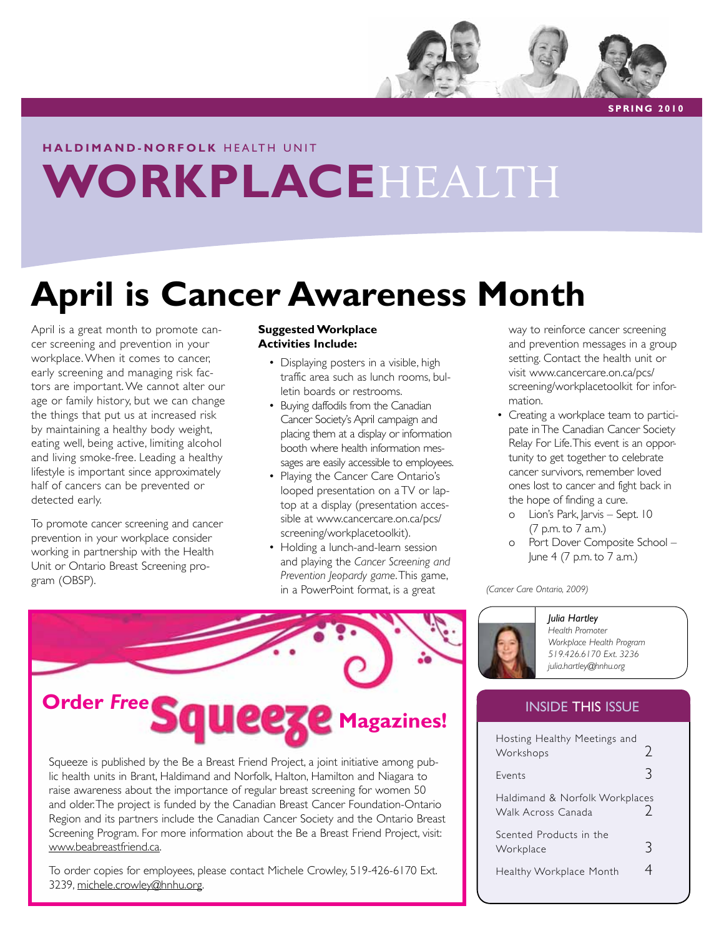

**S PRI N G 2 0 1 0**

## **h a l d i m a n d - n o r f o l k** H E A LT H U N I T **WORKPLACE**HEALTH

## **April is Cancer Awareness Month**

April is a great month to promote cancer screening and prevention in your workplace. When it comes to cancer, early screening and managing risk factors are important. We cannot alter our age or family history, but we can change the things that put us at increased risk by maintaining a healthy body weight, eating well, being active, limiting alcohol and living smoke-free. Leading a healthy lifestyle is important since approximately half of cancers can be prevented or detected early.

To promote cancer screening and cancer prevention in your workplace consider working in partnership with the Health Unit or Ontario Breast Screening program (OBSP).

#### **Suggested Workplace Activities Include:**

- Displaying posters in a visible, high traffic area such as lunch rooms, bulletin boards or restrooms.
- Buying daffodils from the Canadian Cancer Society's April campaign and placing them at a display or information booth where health information messages are easily accessible to employees.
- Playing the Cancer Care Ontario's looped presentation on a TV or laptop at a display (presentation accessible at www.cancercare.on.ca/pcs/ screening/workplacetoolkit).
- Holding a lunch-and-learn session and playing the *Cancer Screening and Prevention Jeopardy game*. This game, in a PowerPoint format, is a great

way to reinforce cancer screening and prevention messages in a group setting. Contact the health unit or visit www.cancercare.on.ca/pcs/ screening/workplacetoolkit for information.

- Creating a workplace team to participate in The Canadian Cancer Society Relay For Life. This event is an opportunity to get together to celebrate cancer survivors, remember loved ones lost to cancer and fight back in the hope of finding a cure.
	- o Lion's Park, Jarvis Sept. 10 (7 p.m. to 7 a.m.)
	- o Port Dover Composite School June 4 (7 p.m. to 7 a.m.)

*(Cancer Care Ontario, 2009)* 



*Julia Hartley Health Promoter Workplace Health Program 519.426.6170 Ext. 3236 julia.hartley@hnhu.org*

#### INSIDE THIS ISSUE

| Hosting Healthy Meetings and<br>Workshops            | 7  |
|------------------------------------------------------|----|
| Fvents                                               | ્ર |
| Haldimand & Norfolk Workplaces<br>Walk Across Canada |    |
| Scented Products in the<br>Workplace                 | ₹  |
| Healthy Workplace Month                              |    |



Squeeze is published by the Be a Breast Friend Project, a joint initiative among public health units in Brant, Haldimand and Norfolk, Halton, Hamilton and Niagara to raise awareness about the importance of regular breast screening for women 50 and older. The project is funded by the Canadian Breast Cancer Foundation-Ontario Region and its partners include the Canadian Cancer Society and the Ontario Breast Screening Program. For more information about the Be a Breast Friend Project, visit: www.beabreastfriend.ca.

To order copies for employees, please contact Michele Crowley, 519-426-6170 Ext. 3239, michele.crowley@hnhu.org.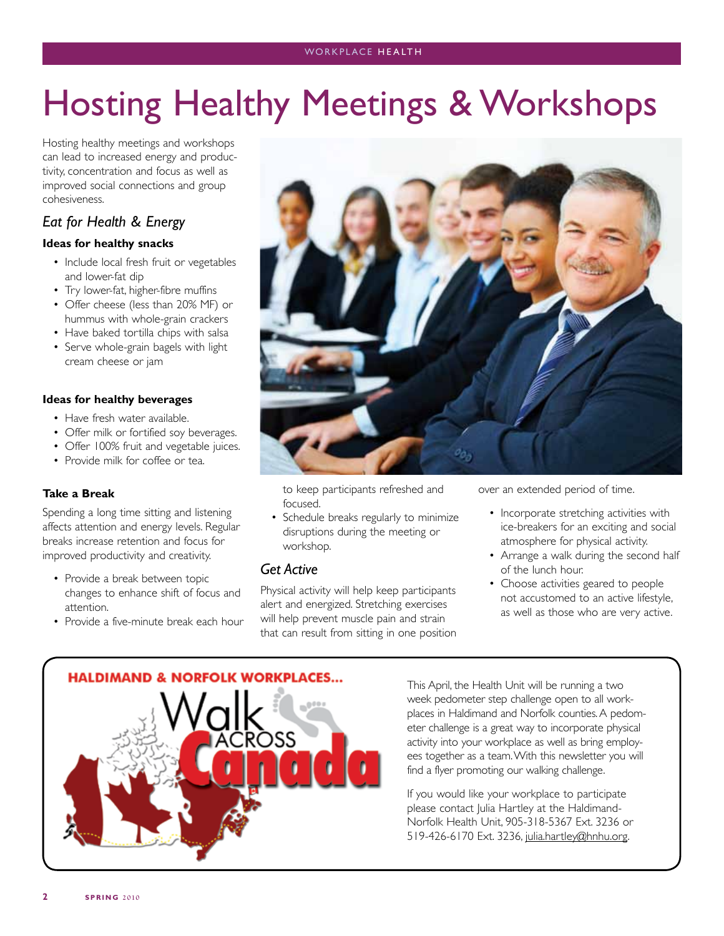# Hosting Healthy Meetings & Workshops

Hosting healthy meetings and workshops can lead to increased energy and productivity, concentration and focus as well as improved social connections and group cohesiveness.

### *Eat for Health & Energy*

#### **Ideas for healthy snacks**

- Include local fresh fruit or vegetables and lower-fat dip
- Try lower-fat, higher-fibre muffins
- Offer cheese (less than 20% MF) or hummus with whole-grain crackers
- Have baked tortilla chips with salsa
- Serve whole-grain bagels with light cream cheese or jam

#### **Ideas for healthy beverages**

- Have fresh water available.
- Offer milk or fortified soy beverages.
- Offer 100% fruit and vegetable juices.
- Provide milk for coffee or tea.

#### **Take a Break**

Spending a long time sitting and listening affects attention and energy levels. Regular breaks increase retention and focus for improved productivity and creativity.

- Provide a break between topic changes to enhance shift of focus and attention.
- Provide a five-minute break each hour



to keep participants refreshed and focused.

• Schedule breaks regularly to minimize disruptions during the meeting or workshop.

#### *Get Active*

Physical activity will help keep participants alert and energized. Stretching exercises will help prevent muscle pain and strain that can result from sitting in one position over an extended period of time.

- Incorporate stretching activities with ice-breakers for an exciting and social atmosphere for physical activity.
- Arrange a walk during the second half of the lunch hour.
- Choose activities geared to people not accustomed to an active lifestyle, as well as those who are very active.



This April, the Health Unit will be running a two week pedometer step challenge open to all workplaces in Haldimand and Norfolk counties. A pedometer challenge is a great way to incorporate physical activity into your workplace as well as bring employees together as a team. With this newsletter you will find a flyer promoting our walking challenge.

If you would like your workplace to participate please contact Julia Hartley at the Haldimand-Norfolk Health Unit, 905-318-5367 Ext. 3236 or 519-426-6170 Ext. 3236, julia.hartley@hnhu.org.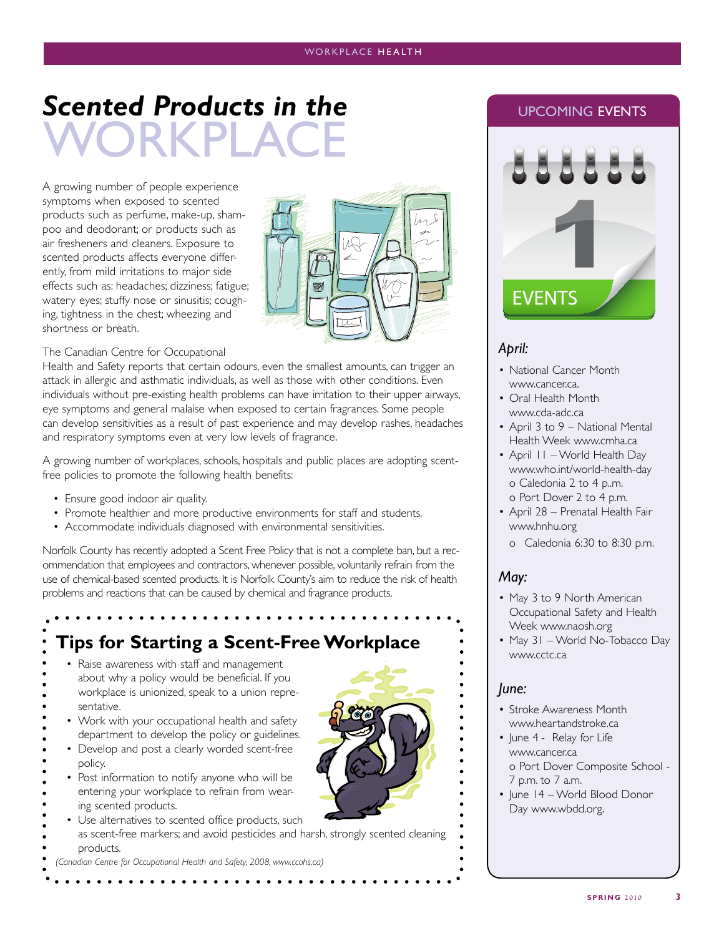## RKPLA **Scented Products in the CONDUG EVENTS**

A growing number of people experience symptoms when exposed to scented products such as perfume, make-up, shampoo and deodorant; or products such as air fresheners and cleaners. Exposure to scented products affects everyone differently, from mild irritations to major side effects such as: headaches; dizziness; fatigue; watery eyes; stuffy nose or sinusitis; coughing, tightness in the chest; wheezing and shortness or breath.



#### The Canadian Centre for Occupational

Health and Safety reports that certain odours, even the smallest amounts, can trigger an attack in allergic and asthmatic individuals, as well as those with other conditions. Even individuals without pre-existing health problems can have irritation to their upper airways, eye symptoms and general malaise when exposed to certain fragrances. Some people can develop sensitivities as a result of past experience and may develop rashes, headaches and respiratory symptoms even at very low levels of fragrance.

A growing number of workplaces, schools, hospitals and public places are adopting scentfree policies to promote the following health benefits:

- Ensure good indoor air quality.
- Promote healthier and more productive environments for staff and students.
- Accommodate individuals diagnosed with environmental sensitivities.

Norfolk County has recently adopted a Scent Free Policy that is not a complete ban, but a recommendation that employees and contractors, whenever possible, voluntarily refrain from the use of chemical-based scented products. It is Norfolk County's aim to reduce the risk of health problems and reactions that can be caused by chemical and fragrance products.

### **Tips for Starting a Scent-Free Workplace**

- Raise awareness with staff and management about why a policy would be beneficial. If you workplace is unionized, speak to a union representative.
- Work with your occupational health and safety department to develop the policy or guidelines.
- Develop and post a clearly worded scent-free policy.
- Post information to notify anyone who will be entering your workplace to refrain from wearing scented products.
- Use alternatives to scented office products, such
- as scent-free markers; and avoid pesticides and harsh, strongly scented cleaning products.
- *(Canadian Centre for Occupational Health and Safety, 2008, www.ccohs.ca)*

**EVENTS** 

#### *April:*

- National Cancer Month www.cancer.ca.
- Oral Health Month www.cda-adc.ca
- April 3 to 9 National Mental Health Week www.cmha.ca
- April 11 World Health Day www.who.int/world-health-day o Caledonia 2 to 4 p..m. o Port Dover 2 to 4 p.m.
- April 28 Prenatal Health Fair www.hnhu.org
	- o Caledonia 6:30 to 8:30 p.m.

#### *May:*

- May 3 to 9 North American Occupational Safety and Health Week www.naosh.org
- May 31 World No-Tobacco Day www.cctc.ca

### *June:*

- Stroke Awareness Month www.heartandstroke.ca
- June 4 Relay for Life www.cancer.ca o Port Dover Composite School - 7 p.m. to 7 a.m.
- June 14 World Blood Donor Day www.wbdd.org.